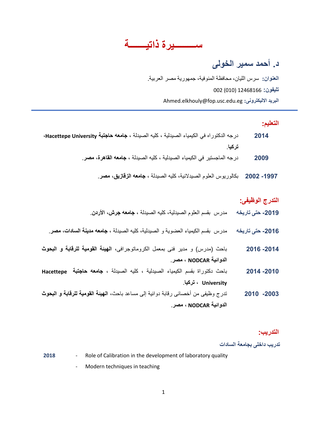**ســـــــــيرة ذاتيـــــــت**

# **د. أحمد سمير الخولى**

**العنوان:** سرس الليان, محافظة المنوفية, جمهورية مصر العربية. **تليفون:** 12468166 (010) 002 Ahmed.elkhouly@fop.usc.edu.eg **:االليكترونى البريد**

#### **التعليم:**

- **4102** درجه الدكتوراه في الكيمياء الصيدلية ، كليه الصيدلة ، **جامعه حاجتبة University Hacettepe، تركيا**.
	- **4112** درجه الماجستير في الكيمياء الصيدلية ، كليه الصيدلة ، **جامعه القاهرة، مصر**.
		- **-0221 4114** بكالوريوس العلوم الصيدالنية، كليه الصيدلة ، **جامعه الزقازيق، مصر**.

#### **التدرج الوظيفى:**

- **-4102 حتى تاريخه** مدرس بقسم العلوم الصيدلية، كليه الصيدلة ، **جامعه جرش، األردن**.
- **-4102 حتى تاريخه** مدرس بقسم الكيمياء العضوية و الصيدلية، كليه الصيدلة ، **جامعه مدينة السادات، مصر**.
- **-4102 4102** باحث )مدرس( و مدير فنى بمعمل الكروماتوجرافى، **الهيئة القومية للرقابة و البحوث الدوائية NODCAR ، مصر**.
- **-4101 4102** باحث دكتوراة بقسم الكيمياء الصيدلية ، كليه الصيدلة ، **جامعه حاجتبة Hacettepe University ، تركيا**.
- **-4112 4101** تدرج وظيفى من أخصائى رقابة دوائية إلى مساعد باحث، **الهيئة القومية للرقابة و البحوث الدوائية NODCAR ، مصر**.

#### **التدريب:**

**تدريب داخلى بجامعة السادات**

**2018** - Role of Calibration in the development of laboratory quality

- Modern techniques in teaching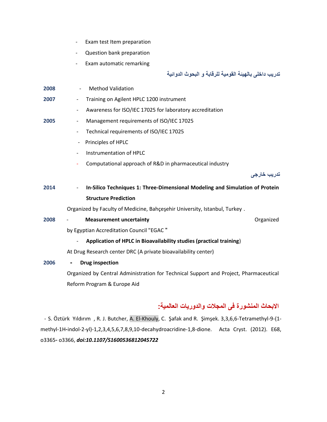- Exam test Item preparation
- Question bank preparation
- Exam automatic remarking

**تدريب داخلى بالهيئة القومية للرقابة و البحوث الدوائية**

| 2008 | <b>Method Validation</b>                                                              |
|------|---------------------------------------------------------------------------------------|
| 2007 | Training on Agilent HPLC 1200 instrument                                              |
|      | Awareness for ISO/IEC 17025 for laboratory accreditation                              |
| 2005 | Management requirements of ISO/IEC 17025<br>$\overline{\phantom{a}}$                  |
|      | Technical requirements of ISO/IEC 17025<br>$\overline{\phantom{a}}$                   |
|      | Principles of HPLC<br>$\overline{\phantom{a}}$                                        |
|      | Instrumentation of HPLC<br>$\overline{\phantom{0}}$                                   |
|      | Computational approach of R&D in pharmaceutical industry                              |
|      | تدريب خارجي                                                                           |
| 2014 | In-Silico Techniques 1: Three-Dimensional Modeling and Simulation of Protein          |
|      | <b>Structure Prediction</b>                                                           |
|      | Organized by Faculty of Medicine, Bahçeşehir University, Istanbul, Turkey.            |
| 2008 | Organized<br><b>Measurement uncertainty</b>                                           |
|      | by Egyptian Accreditation Council "EGAC"                                              |
|      | Application of HPLC in Bioavailability studies (practical training)                   |
|      | At Drug Research center DRC (A private bioavailability center)                        |
| 2006 | <b>Drug inspection</b>                                                                |
|      | Organized by Central Administration for Technical Support and Project, Pharmaceutical |
|      | Reform Program & Europe Aid                                                           |
|      |                                                                                       |

## **االبحاث المنشورة فى المجالت والدوريات العالمية:**

- S. Öztürk Yıldırım , R. J. Butcher, A. El-Khouly, C. Şafak and R. Şimşek. 3,3,6,6-Tetramethyl-9-(1 methyl-1H-indol-2-yl)-1,2,3,4,5,6,7,8,9,10-decahydroacridine-1,8-dione. Acta Cryst. (2012). E68, o3365- o3366, *doi:10.1107/S1600536812045722*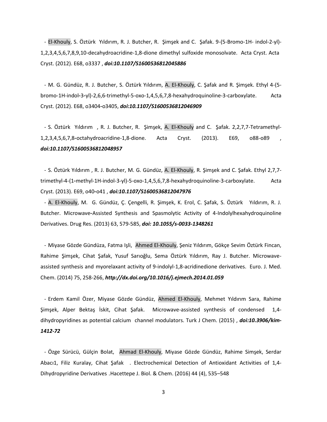- El-Khouly, S. Öztürk Yıldırım, R. J. Butcher, R. Şimşek and C. Şafak. 9-(5-Bromo-1H- indol-2-yl)- 1,2,3,4,5,6,7,8,9,10-decahydroacridine-1,8-dione dimethyl sulfoxide monosolvate. Acta Cryst. Acta Cryst. (2012). E68, o3337 , *doi:10.1107/S1600536812045886*

- M. G. Gündüz, R. J. Butcher, S. Öztürk Yıldırım, A. El-Khouly, C. Şafak and R. Şimşek. Ethyl 4-(5 bromo-1H-indol-3-yl)-2,6,6-trimethyl-5-oxo-1,4,5,6,7,8-hexahydroquinoline-3-carboxylate. Acta Cryst. (2012). E68, o3404-o3405, *doi:10.1107/S1600536812046909*

- S. Öztürk Yıldırım , R. J. Butcher, R. Şimşek, A. El-Khouly and C. Şafak. 2,2,7,7-Tetramethyl-1,2,3,4,5,6,7,8-octahydroacridine-1,8-dione. Acta Cryst. (2013). E69, o88-o89 , *doi:10.1107/S1600536812048957*

- S. Öztürk Yıldırım , R. J. Butcher, M. G. Gündüz, A. El-Khouly, R. Şimşek and C. Şafak. Ethyl 2,7,7 trimethyl-4-(1-methyl-1H-indol-3-yl)-5-oxo-1,4,5,6,7,8-hexahydroquinoline-3-carboxylate. Acta Cryst. (2013). E69, o40-o41 , *doi:10.1107/S1600536812047976*

- A. El-Khouly, M. G. Gündüz, Ç. Çengelli, R. Şimşek, K. Erol, C. Şafak, S. Öztürk Yıldırım, R. J. Butcher. Microwave-Assisted Synthesis and Spasmolytic Activity of 4-Indolylhexahydroquinoline Derivatives. Drug Res. (2013) 63, 579-585, *doi: 10.1055/s-0033-1348261*

- Miyase Gözde Gündüza, Fatma Işli, Ahmed El-Khouly, Şeniz Yıldırım, Gökçe Sevim Öztürk Fincan, Rahime Şimşek, Cihat Şafak, Yusuf Sarıoğlu, Sema Öztürk Yıldırım, Ray J. Butcher. Microwaveassisted synthesis and myorelaxant activity of 9-indolyl-1,8-acridinedione derivatives. Euro. J. Med. Chem. (2014) 75, 258-266, *http://dx.doi.org/10.1016/j.ejmech.2014.01.059*

- Erdem Kamil Özer, Miyase Gözde Gündüz, Ahmed El-Khouly, Mehmet Yıldırım Sara, Rahime Şimşek, Alper Bektaş İskit, Cihat Şafak. Microwave-assisted synthesis of condensed 1,4 dihydropyridines as potential calcium channel modulators. Turk J Chem. (2015) , *doi:10.3906/kim-1412-72*

- Özge Sürücü, Gülçin Bolat, Ahmad El-Khouly, Miyase Gözde Gündüz, Rahime Simşek, Serdar Abacı1, Filiz Kuralay, Cihat Şafak . Electrochemical Detection of Antioxidant Activities of 1,4-Dihydropyridine Derivatives .Hacettepe J. Biol. & Chem. (2016) 44 (4), 535–548

3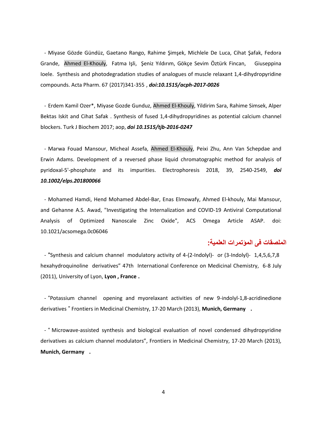- Miyase Gözde Gündüz, Gaetano Rango, Rahime Şimşek, Michlele De Luca, Cihat Şafak, Fedora Grande, Ahmed El-Khouly, Fatma Işli, Şeniz Yıldırım, Gökçe Sevim Öztürk Fincan, Giuseppina Ioele. Synthesis and photodegradation studies of analogues of muscle relaxant 1,4-dihydropyridine compounds. Acta Pharm. 67 (2017)341-355 , *doi:10.1515/acph-2017-0026*

- Erdem Kamil Ozer\*, Miyase Gozde Gunduz, Ahmed El-Khouly, Yildirim Sara, Rahime Simsek, Alper Bektas Iskit and Cihat Safak . Synthesis of fused 1,4-dihydropyridines as potential calcium channel blockers. Turk J Biochem 2017; aop, *doi 10.1515/tjb-2016-0247*

- Marwa Fouad Mansour, Micheal Assefa, Ahmed El-Khouly, Peixi Zhu, Ann Van Schepdae and Erwin Adams. Development of a reversed phase liquid chromatographic method for analysis of pyridoxal-5'-phosphate and its impurities. Electrophoresis 2018, 39, 2540-2549, *doi 10.1002/elps.201800066*

- Mohamed Hamdi, Hend Mohamed Abdel-Bar, Enas Elmowafy, Ahmed El-khouly, Mai Mansour, and Gehanne A.S. Awad, "Investigating the Internalization and COVID-19 Antiviral Computational Analysis of Optimized Nanoscale Zinc Oxide", ACS Omega Article ASAP. doi: 10.1021/acsomega.0c06046

### **الملصقات فى المؤتمرات العلمية:**

- "Synthesis and calcium channel modulatory activity of 4-(2-Indolyl)- or (3-Indolyl)- 1,4,5,6,7,8 hexahydroquinoline derivatives" 47th International Conference on Medicinal Chemistry, 6-8 July (2011), University of Lyon, **Lyon , France .**

- "Potassium channel opening and myorelaxant activities of new 9-indolyl-1,8-acridinedione derivatives " Frontiers in Medicinal Chemistry, 17-20 March (2013), **Munich, Germany .**

- " Microwave-assisted synthesis and biological evaluation of novel condensed dihydropyridine derivatives as calcium channel modulators", Frontiers in Medicinal Chemistry, 17-20 March (2013), **Munich, Germany .**